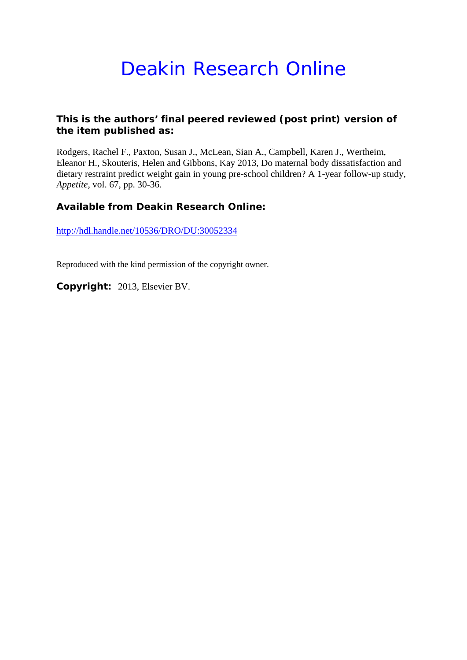# Deakin Research Online

#### **This is the authors' final peered reviewed (post print) version of the item published as:**

Rodgers, Rachel F., Paxton, Susan J., McLean, Sian A., Campbell, Karen J., Wertheim, Eleanor H., Skouteris, Helen and Gibbons, Kay 2013, Do maternal body dissatisfaction and dietary restraint predict weight gain in young pre-school children? A 1-year follow-up study*, Appetite*, vol. 67, pp. 30-36.

#### **Available from Deakin Research Online:**

http://hdl.handle.net/10536/DRO/DU:30052334

Reproduced with the kind permission of the copyright owner.

**Copyright:** 2013, Elsevier BV.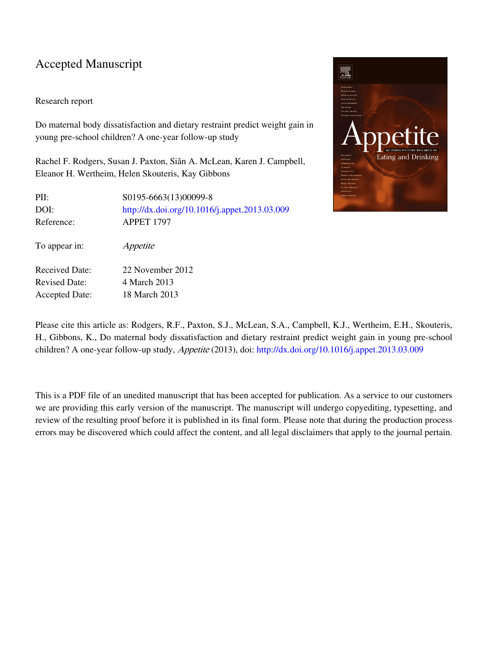#### Accepted Manuscript

To appear in: Appetite

Received Date: 22 November 2012 Revised Date: 4 March 2013 Accepted Date: 18 March 2013

#### Research report

Do maternal body dissatisfaction and dietary restraint predict weight gain in young pre-school children? A one-year follow-up study

Rachel F. Rodgers, Susan J. Paxton, Siân A. McLean, Karen J. Campbell, Eleanor H. Wertheim, Helen Skouteris, Kay Gibbons

PII: S0195-6663(13)00099-8 DOI: <http://dx.doi.org/10.1016/j.appet.2013.03.009> Reference: APPET 1797



Please cite this article as: Rodgers, R.F., Paxton, S.J., McLean, S.A., Campbell, K.J., Wertheim, E.H., Skouteris, H., Gibbons, K., Do maternal body dissatisfaction and dietary restraint predict weight gain in young pre-school children? A one-year follow-up study, Appetite (2013), doi: [http://dx.doi.org/10.1016/j.appet.2013.03.009](http://dx.doi.org/http://dx.doi.org/10.1016/j.appet.2013.03.009)

This is a PDF file of an unedited manuscript that has been accepted for publication. As a service to our customers we are providing this early version of the manuscript. The manuscript will undergo copyediting, typesetting, and review of the resulting proof before it is published in its final form. Please note that during the production process errors may be discovered which could affect the content, and all legal disclaimers that apply to the journal pertain.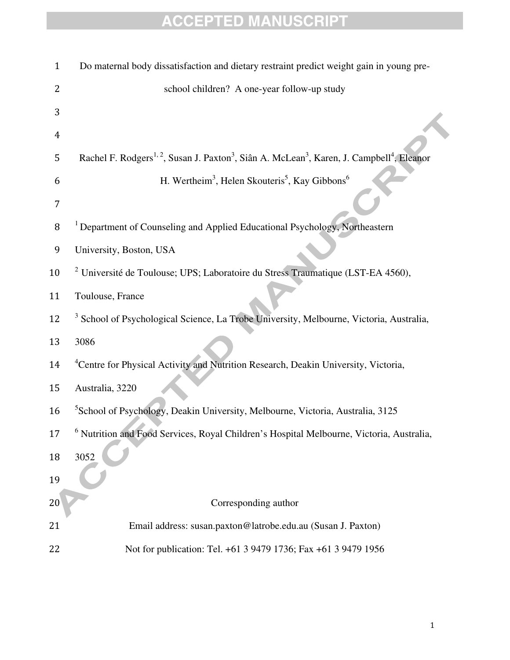| $\mathbf{1}$ | Do maternal body dissatisfaction and dietary restraint predict weight gain in young pre-                                                   |
|--------------|--------------------------------------------------------------------------------------------------------------------------------------------|
| 2            | school children? A one-year follow-up study                                                                                                |
| 3            |                                                                                                                                            |
| 4            |                                                                                                                                            |
| 5            | Rachel F. Rodgers <sup>1, 2</sup> , Susan J. Paxton <sup>3</sup> , Siân A. McLean <sup>3</sup> , Karen, J. Campbell <sup>4</sup> , Eleanor |
| 6            | H. Wertheim <sup>3</sup> , Helen Skouteris <sup>5</sup> , Kay Gibbons <sup>6</sup>                                                         |
| 7            |                                                                                                                                            |
| 8            | <sup>1</sup> Department of Counseling and Applied Educational Psychology, Northeastern                                                     |
| 9            | University, Boston, USA                                                                                                                    |
| 10           | <sup>2</sup> Université de Toulouse; UPS; Laboratoire du Stress Traumatique (LST-EA 4560),                                                 |
| 11           | Toulouse, France                                                                                                                           |
| 12           | <sup>3</sup> School of Psychological Science, La Trobe University, Melbourne, Victoria, Australia,                                         |
| 13           | 3086                                                                                                                                       |
| 14           | <sup>4</sup> Centre for Physical Activity and Nutrition Research, Deakin University, Victoria,                                             |
| 15           | Australia, 3220                                                                                                                            |
| 16           | <sup>5</sup> School of Psychology, Deakin University, Melbourne, Victoria, Australia, 3125                                                 |
| 17           | <sup>6</sup> Nutrition and Food Services, Royal Children's Hospital Melbourne, Victoria, Australia,                                        |
| 18           | 3052                                                                                                                                       |
| 19           |                                                                                                                                            |
| 20           | Corresponding author                                                                                                                       |
| 21           | Email address: susan.paxton@latrobe.edu.au (Susan J. Paxton)                                                                               |
| 22           | Not for publication: Tel. +61 3 9479 1736; Fax +61 3 9479 1956                                                                             |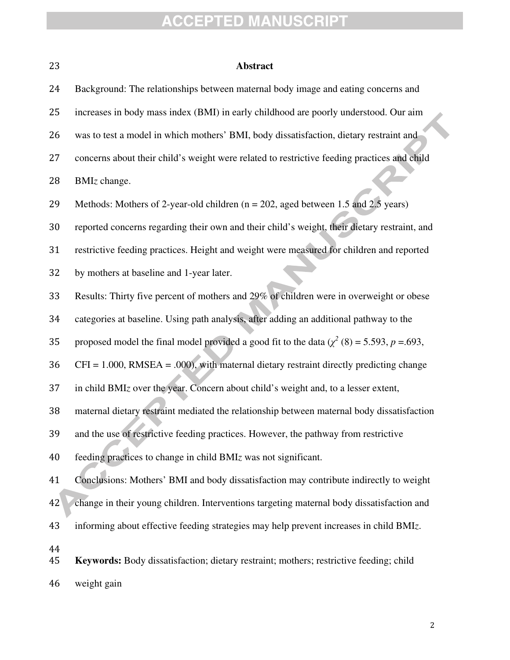| 23       | <b>Abstract</b>                                                                                 |
|----------|-------------------------------------------------------------------------------------------------|
| 24       | Background: The relationships between maternal body image and eating concerns and               |
| 25       | increases in body mass index (BMI) in early childhood are poorly understood. Our aim            |
| 26       | was to test a model in which mothers' BMI, body dissatisfaction, dietary restraint and          |
| 27       | concerns about their child's weight were related to restrictive feeding practices and child     |
| 28       | BMIz change.                                                                                    |
| 29       | Methods: Mothers of 2-year-old children ( $n = 202$ , aged between 1.5 and 2.5 years)           |
| 30       | reported concerns regarding their own and their child's weight, their dietary restraint, and    |
| 31       | restrictive feeding practices. Height and weight were measured for children and reported        |
| 32       | by mothers at baseline and 1-year later.                                                        |
| 33       | Results: Thirty five percent of mothers and 29% of children were in overweight or obese         |
| 34       | categories at baseline. Using path analysis, after adding an additional pathway to the          |
| 35       | proposed model the final model provided a good fit to the data ( $\chi^2$ (8) = 5.593, p =.693, |
| 36       | $CFI = 1.000$ , RMSEA = .000), with maternal dietary restraint directly predicting change       |
| 37       | in child BMIz over the year. Concern about child's weight and, to a lesser extent,              |
| 38       | maternal dietary restraint mediated the relationship between maternal body dissatisfaction      |
| 39       | and the use of restrictive feeding practices. However, the pathway from restrictive             |
| 40       | feeding practices to change in child BMIz was not significant.                                  |
| 41       | Conclusions: Mothers' BMI and body dissatisfaction may contribute indirectly to weight          |
| 42       | change in their young children. Interventions targeting maternal body dissatisfaction and       |
| 43       | informing about effective feeding strategies may help prevent increases in child BMIz.          |
| 44<br>45 | Keywords: Body dissatisfaction; dietary restraint; mothers; restrictive feeding; child          |
| 46       | weight gain                                                                                     |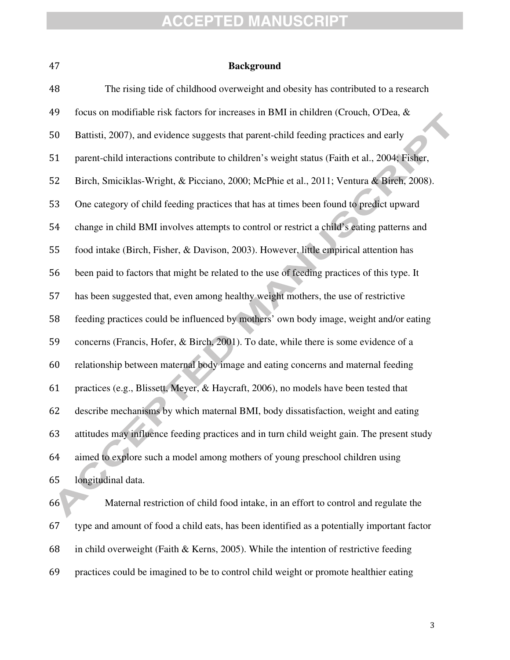#### **Background**

The rising tide of childhood overweight and obesity has contributed to a research focus on modifiable risk factors for increases in BMI in children (Crouch, O'Dea, & Battisti, 2007), and evidence suggests that parent-child feeding practices and early parent-child interactions contribute to children's weight status (Faith et al., 2004; Fisher, Birch, Smiciklas-Wright, & Picciano, 2000; McPhie et al., 2011; Ventura & Birch, 2008). One category of child feeding practices that has at times been found to predict upward change in child BMI involves attempts to control or restrict a child's eating patterns and food intake (Birch, Fisher, & Davison, 2003). However, little empirical attention has been paid to factors that might be related to the use of feeding practices of this type. It has been suggested that, even among healthy weight mothers, the use of restrictive feeding practices could be influenced by mothers' own body image, weight and/or eating concerns (Francis, Hofer, & Birch, 2001). To date, while there is some evidence of a relationship between maternal body image and eating concerns and maternal feeding practices (e.g., Blissett, Meyer, & Haycraft, 2006), no models have been tested that describe mechanisms by which maternal BMI, body dissatisfaction, weight and eating attitudes may influence feeding practices and in turn child weight gain. The present study aimed to explore such a model among mothers of young preschool children using longitudinal data.

Maternal restriction of child food intake, in an effort to control and regulate the type and amount of food a child eats, has been identified as a potentially important factor 68 in child overweight (Faith  $\&$  Kerns, 2005). While the intention of restrictive feeding practices could be imagined to be to control child weight or promote healthier eating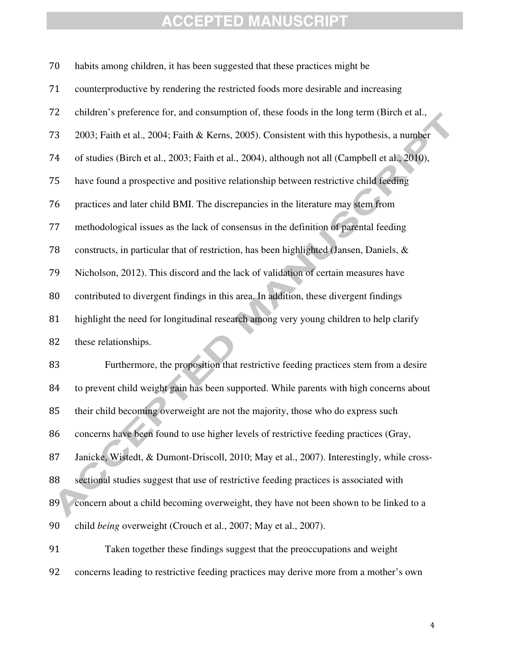| 70 | habits among children, it has been suggested that these practices might be                     |
|----|------------------------------------------------------------------------------------------------|
| 71 | counterproductive by rendering the restricted foods more desirable and increasing              |
| 72 | children's preference for, and consumption of, these foods in the long term (Birch et al.,     |
| 73 | 2003; Faith et al., 2004; Faith & Kerns, 2005). Consistent with this hypothesis, a number      |
| 74 | of studies (Birch et al., 2003; Faith et al., 2004), although not all (Campbell et al., 2010), |
| 75 | have found a prospective and positive relationship between restrictive child feeding           |
| 76 | practices and later child BMI. The discrepancies in the literature may stem from               |
| 77 | methodological issues as the lack of consensus in the definition of parental feeding           |
| 78 | constructs, in particular that of restriction, has been highlighted (Jansen, Daniels, &        |
| 79 | Nicholson, 2012). This discord and the lack of validation of certain measures have             |
| 80 | contributed to divergent findings in this area. In addition, these divergent findings          |
| 81 | highlight the need for longitudinal research among very young children to help clarify         |
| 82 | these relationships.                                                                           |
| 83 | Furthermore, the proposition that restrictive feeding practices stem from a desire             |
| 84 | to prevent child weight gain has been supported. While parents with high concerns about        |
| 85 | their child becoming overweight are not the majority, those who do express such                |
| 86 | concerns have been found to use higher levels of restrictive feeding practices (Gray,          |
| 87 | Janicke, Wistedt, & Dumont-Driscoll, 2010; May et al., 2007). Interestingly, while cross-      |
| 88 | sectional studies suggest that use of restrictive feeding practices is associated with         |
| 89 | concern about a child becoming overweight, they have not been shown to be linked to a          |
| 90 | child being overweight (Crouch et al., 2007; May et al., 2007).                                |
| 91 | Taken together these findings suggest that the preoccupations and weight                       |
| 92 | concerns leading to restrictive feeding practices may derive more from a mother's own          |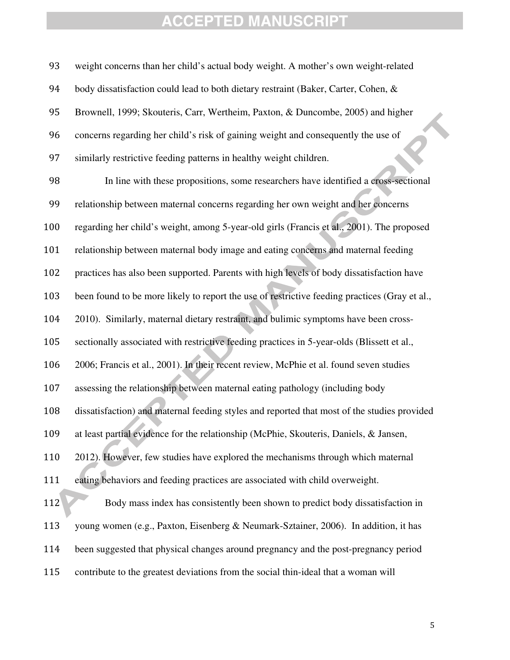weight concerns than her child's actual body weight. A mother's own weight-related 94 body dissatisfaction could lead to both dietary restraint (Baker, Carter, Cohen, & Brownell, 1999; Skouteris, Carr, Wertheim, Paxton, & Duncombe, 2005) and higher concerns regarding her child's risk of gaining weight and consequently the use of similarly restrictive feeding patterns in healthy weight children. In line with these propositions, some researchers have identified a cross-sectional relationship between maternal concerns regarding her own weight and her concerns regarding her child's weight, among 5-year-old girls (Francis et al., 2001). The proposed relationship between maternal body image and eating concerns and maternal feeding practices has also been supported. Parents with high levels of body dissatisfaction have been found to be more likely to report the use of restrictive feeding practices (Gray et al., 2010). Similarly, maternal dietary restraint, and bulimic symptoms have been cross-sectionally associated with restrictive feeding practices in 5-year-olds (Blissett et al., 2006; Francis et al., 2001). In their recent review, McPhie et al. found seven studies assessing the relationship between maternal eating pathology (including body dissatisfaction) and maternal feeding styles and reported that most of the studies provided at least partial evidence for the relationship (McPhie, Skouteris, Daniels, & Jansen, 2012). However, few studies have explored the mechanisms through which maternal eating behaviors and feeding practices are associated with child overweight. 112 Body mass index has consistently been shown to predict body dissatisfaction in young women (e.g., Paxton, Eisenberg & Neumark-Sztainer, 2006). In addition, it has been suggested that physical changes around pregnancy and the post-pregnancy period contribute to the greatest deviations from the social thin-ideal that a woman will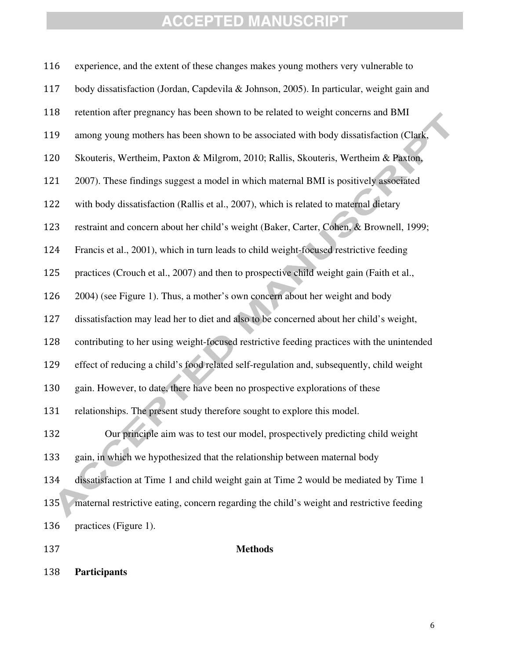| 116 | experience, and the extent of these changes makes young mothers very vulnerable to         |
|-----|--------------------------------------------------------------------------------------------|
| 117 | body dissatisfaction (Jordan, Capdevila & Johnson, 2005). In particular, weight gain and   |
| 118 | retention after pregnancy has been shown to be related to weight concerns and BMI          |
| 119 | among young mothers has been shown to be associated with body dissatisfaction (Clark,      |
| 120 | Skouteris, Wertheim, Paxton & Milgrom, 2010; Rallis, Skouteris, Wertheim & Paxton,         |
| 121 | 2007). These findings suggest a model in which maternal BMI is positively associated       |
| 122 | with body dissatisfaction (Rallis et al., 2007), which is related to maternal dietary      |
| 123 | restraint and concern about her child's weight (Baker, Carter, Cohen, & Brownell, 1999;    |
| 124 | Francis et al., 2001), which in turn leads to child weight-focused restrictive feeding     |
| 125 | practices (Crouch et al., 2007) and then to prospective child weight gain (Faith et al.,   |
| 126 | 2004) (see Figure 1). Thus, a mother's own concern about her weight and body               |
| 127 | dissatisfaction may lead her to diet and also to be concerned about her child's weight,    |
| 128 | contributing to her using weight-focused restrictive feeding practices with the unintended |
| 129 | effect of reducing a child's food related self-regulation and, subsequently, child weight  |
| 130 | gain. However, to date, there have been no prospective explorations of these               |
| 131 | relationships. The present study therefore sought to explore this model.                   |
| 132 | Our principle aim was to test our model, prospectively predicting child weight             |
| 133 | gain, in which we hypothesized that the relationship between maternal body                 |
| 134 | dissatisfaction at Time 1 and child weight gain at Time 2 would be mediated by Time 1      |
| 135 | maternal restrictive eating, concern regarding the child's weight and restrictive feeding  |
| 136 | practices (Figure 1).                                                                      |
| 137 | <b>Methods</b>                                                                             |

**Participants**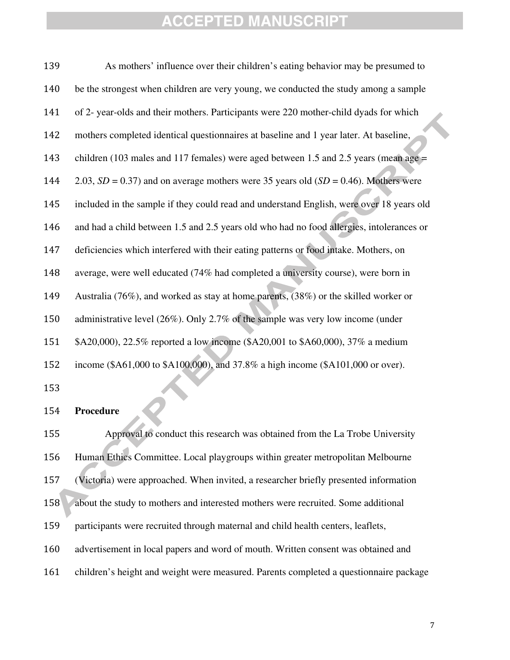| 139 | As mothers' influence over their children's eating behavior may be presumed to             |
|-----|--------------------------------------------------------------------------------------------|
| 140 | be the strongest when children are very young, we conducted the study among a sample       |
| 141 | of 2- year-olds and their mothers. Participants were 220 mother-child dyads for which      |
| 142 | mothers completed identical questionnaires at baseline and 1 year later. At baseline,      |
| 143 | children (103 males and 117 females) were aged between 1.5 and 2.5 years (mean age $=$     |
| 144 | 2.03, $SD = 0.37$ ) and on average mothers were 35 years old ( $SD = 0.46$ ). Mothers were |
| 145 | included in the sample if they could read and understand English, were over 18 years old   |
| 146 | and had a child between 1.5 and 2.5 years old who had no food allergies, intolerances or   |
| 147 | deficiencies which interfered with their eating patterns or food intake. Mothers, on       |
| 148 | average, were well educated (74% had completed a university course), were born in          |
| 149 | Australia (76%), and worked as stay at home parents, $(38%)$ or the skilled worker or      |
| 150 | administrative level (26%). Only 2.7% of the sample was very low income (under             |
| 151 | \$A20,000), 22.5% reported a low income (\$A20,001 to \$A60,000), 37% a medium             |
| 152 | income (\$A61,000 to \$A100,000), and 37.8% a high income (\$A101,000 or over).            |

#### **Procedure**

Approval to conduct this research was obtained from the La Trobe University Human Ethics Committee. Local playgroups within greater metropolitan Melbourne (Victoria) were approached. When invited, a researcher briefly presented information about the study to mothers and interested mothers were recruited. Some additional participants were recruited through maternal and child health centers, leaflets, advertisement in local papers and word of mouth. Written consent was obtained and children's height and weight were measured. Parents completed a questionnaire package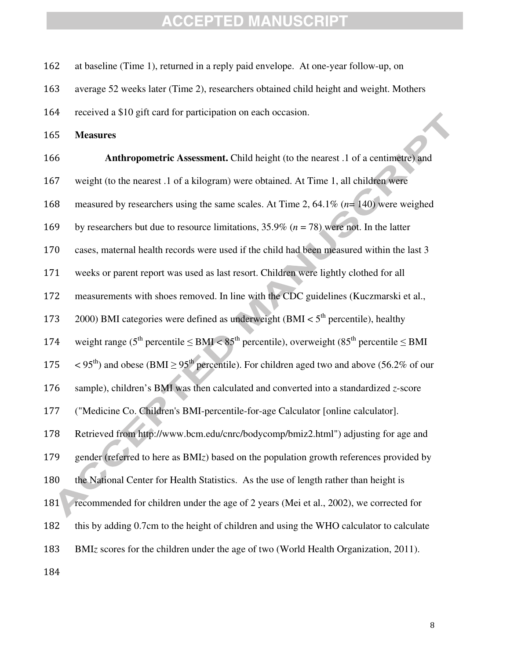at baseline (Time 1), returned in a reply paid envelope. At one-year follow-up, on

average 52 weeks later (Time 2), researchers obtained child height and weight. Mothers

received a \$10 gift card for participation on each occasion.

**Measures** 

**Anthropometric Assessment.** Child height (to the nearest .1 of a centimetre) and weight (to the nearest .1 of a kilogram) were obtained. At Time 1, all children were measured by researchers using the same scales. At Time 2, 64.1% (*n*= 140) were weighed by researchers but due to resource limitations, 35.9% (*n* = 78) were not. In the latter cases, maternal health records were used if the child had been measured within the last 3 weeks or parent report was used as last resort. Children were lightly clothed for all measurements with shoes removed. In line with the CDC guidelines (Kuczmarski et al., 173 2000) BMI categories were defined as underweight (BMI  $< 5<sup>th</sup>$  percentile), healthy 174 weight range ( $5^{th}$  percentile  $\leq$  BMI  $<$  85<sup>th</sup> percentile), overweight (85<sup>th</sup> percentile  $\leq$  BMI  $\leq 95^{\text{th}}$ ) and obese (BMI  $\geq 95^{\text{th}}$  percentile). For children aged two and above (56.2% of our sample), children's BMI was then calculated and converted into a standardized *z*-score ("Medicine Co. Children's BMI-percentile-for-age Calculator [online calculator]. Retrieved from http://www.bcm.edu/cnrc/bodycomp/bmiz2.html") adjusting for age and gender (referred to here as BMI*z*) based on the population growth references provided by the National Center for Health Statistics. As the use of length rather than height is 181 recommended for children under the age of 2 years (Mei et al., 2002), we corrected for this by adding 0.7cm to the height of children and using the WHO calculator to calculate BMI*z* scores for the children under the age of two (World Health Organization, 2011).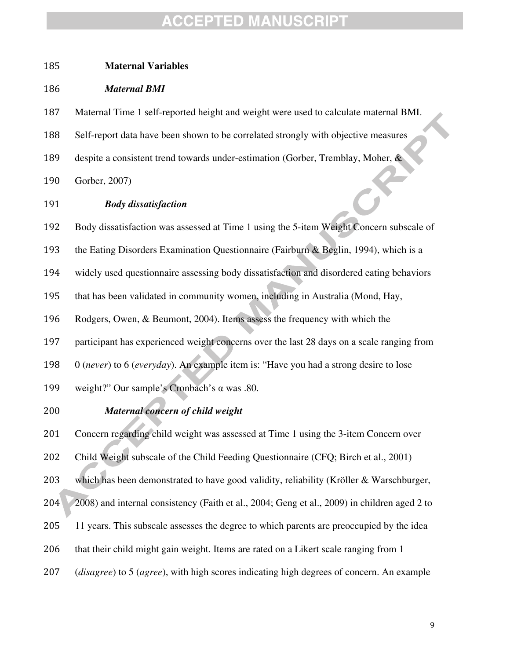#### **Maternal Variables**

#### *Maternal BMI*

Maternal Time 1 self-reported height and weight were used to calculate maternal BMI.

Self-report data have been shown to be correlated strongly with objective measures

despite a consistent trend towards under-estimation (Gorber, Tremblay, Moher, &

Gorber, 2007)

#### *Body dissatisfaction*

Body dissatisfaction was assessed at Time 1 using the 5-item Weight Concern subscale of

193 the Eating Disorders Examination Questionnaire (Fairburn & Beglin, 1994), which is a

widely used questionnaire assessing body dissatisfaction and disordered eating behaviors

that has been validated in community women, including in Australia (Mond, Hay,

Rodgers, Owen, & Beumont, 2004). Items assess the frequency with which the

participant has experienced weight concerns over the last 28 days on a scale ranging from

0 (*never*) to 6 (*everyday*). An example item is: "Have you had a strong desire to lose

weight?" Our sample's Cronbach's α was .80.

#### *Maternal concern of child weight*

Concern regarding child weight was assessed at Time 1 using the 3-item Concern over

Child Weight subscale of the Child Feeding Questionnaire (CFQ; Birch et al., 2001)

which has been demonstrated to have good validity, reliability (Kröller & Warschburger,

2008) and internal consistency (Faith et al., 2004; Geng et al., 2009) in children aged 2 to

11 years. This subscale assesses the degree to which parents are preoccupied by the idea

that their child might gain weight. Items are rated on a Likert scale ranging from 1

(*disagree*) to 5 (*agree*), with high scores indicating high degrees of concern. An example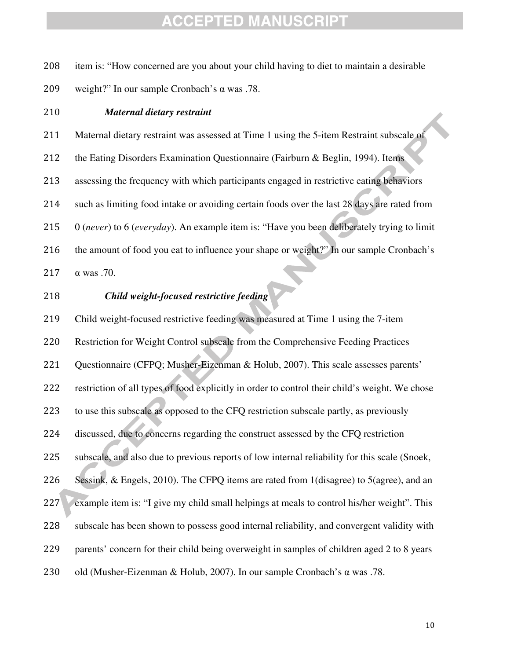| 208 | item is: "How concerned are you about your child having to diet to maintain a desirable        |
|-----|------------------------------------------------------------------------------------------------|
| 209 | weight?" In our sample Cronbach's $\alpha$ was .78.                                            |
| 210 | <b>Maternal dietary restraint</b>                                                              |
| 211 | Maternal dietary restraint was assessed at Time 1 using the 5-item Restraint subscale of       |
| 212 | the Eating Disorders Examination Questionnaire (Fairburn & Beglin, 1994). Items                |
| 213 | assessing the frequency with which participants engaged in restrictive eating behaviors        |
| 214 | such as limiting food intake or avoiding certain foods over the last 28 days are rated from    |
| 215 | 0 (never) to 6 (everyday). An example item is: "Have you been deliberately trying to limit     |
| 216 | the amount of food you eat to influence your shape or weight?" In our sample Cronbach's        |
| 217 | $\alpha$ was .70.                                                                              |
| 218 | Child weight-focused restrictive feeding                                                       |
| 219 | Child weight-focused restrictive feeding was measured at Time 1 using the 7-item               |
| 220 | Restriction for Weight Control subscale from the Comprehensive Feeding Practices               |
| 221 | Questionnaire (CFPQ; Musher-Eizenman & Holub, 2007). This scale assesses parents'              |
| 222 | restriction of all types of food explicitly in order to control their child's weight. We chose |
| 223 | to use this subscale as opposed to the CFQ restriction subscale partly, as previously          |
| 224 | discussed, due to concerns regarding the construct assessed by the CFQ restriction             |
| 225 | subscale, and also due to previous reports of low internal reliability for this scale (Snoek,  |
| 226 | Sessink, & Engels, 2010). The CFPQ items are rated from 1(disagree) to 5(agree), and an        |
| 227 | example item is: "I give my child small helpings at meals to control his/her weight". This     |
| 228 | subscale has been shown to possess good internal reliability, and convergent validity with     |
| 229 | parents' concern for their child being overweight in samples of children aged 2 to 8 years     |
| 230 | old (Musher-Eizenman & Holub, 2007). In our sample Cronbach's α was .78.                       |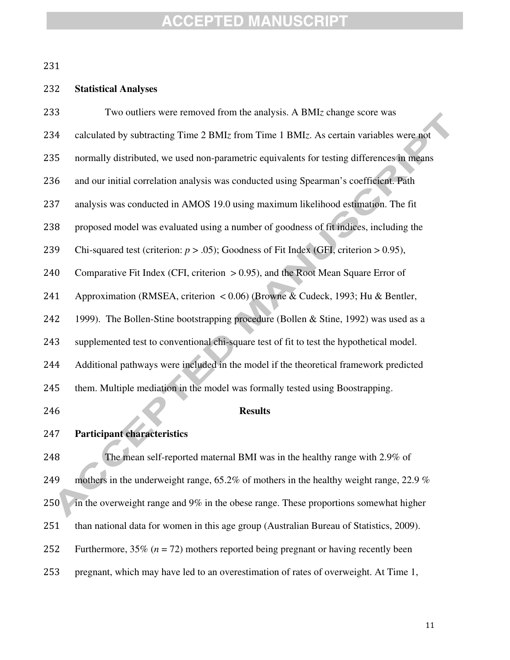## **Statistical Analyses**

| 233 | Two outliers were removed from the analysis. A BMIz change score was                      |
|-----|-------------------------------------------------------------------------------------------|
| 234 | calculated by subtracting Time 2 BMIz from Time 1 BMIz. As certain variables were not     |
| 235 | normally distributed, we used non-parametric equivalents for testing differences in means |
| 236 | and our initial correlation analysis was conducted using Spearman's coefficient. Path     |
| 237 | analysis was conducted in AMOS 19.0 using maximum likelihood estimation. The fit          |
| 238 | proposed model was evaluated using a number of goodness of fit indices, including the     |
| 239 | Chi-squared test (criterion: $p > .05$ ); Goodness of Fit Index (GFI, criterion > 0.95),  |
| 240 | Comparative Fit Index (CFI, criterion $> 0.95$ ), and the Root Mean Square Error of       |
| 241 | Approximation (RMSEA, criterion < 0.06) (Browne & Cudeck, 1993; Hu & Bentler,             |
| 242 | 1999). The Bollen-Stine bootstrapping procedure (Bollen & Stine, 1992) was used as a      |
| 243 | supplemented test to conventional chi-square test of fit to test the hypothetical model.  |
| 244 | Additional pathways were included in the model if the theoretical framework predicted     |
| 245 | them. Multiple mediation in the model was formally tested using Boostrapping.             |
| 246 | <b>Results</b>                                                                            |
| 247 | <b>Participant characteristics</b>                                                        |
| 248 | The mean self-reported maternal BMI was in the healthy range with 2.9% of                 |
| 249 | mothers in the underweight range, 65.2% of mothers in the healthy weight range, 22.9 %    |
| 250 | in the overweight range and 9% in the obese range. These proportions somewhat higher      |
| 251 | than national data for women in this age group (Australian Bureau of Statistics, 2009).   |
| 252 | Furthermore, 35% ( $n = 72$ ) mothers reported being pregnant or having recently been     |
| 253 | pregnant, which may have led to an overestimation of rates of overweight. At Time 1,      |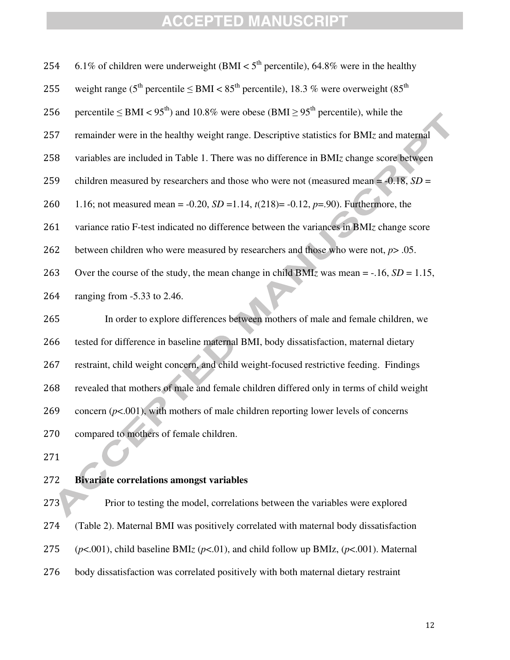| 254 | 6.1% of children were underweight (BMI $<$ 5 <sup>th</sup> percentile), 64.8% were in the healthy                                |
|-----|----------------------------------------------------------------------------------------------------------------------------------|
| 255 | weight range (5 <sup>th</sup> percentile $\leq$ BMI $<$ 85 <sup>th</sup> percentile), 18.3 % were overweight (85 <sup>th</sup> ) |
| 256 | percentile $\leq$ BMI $<$ 95 <sup>th</sup> ) and 10.8% were obese (BMI $\geq$ 95 <sup>th</sup> percentile), while the            |
| 257 | remainder were in the healthy weight range. Descriptive statistics for BMIz and maternal                                         |
| 258 | variables are included in Table 1. There was no difference in BMIz change score between                                          |
| 259 | children measured by researchers and those who were not (measured mean = $-0.18$ , SD =                                          |
| 260 | 1.16; not measured mean = -0.20, $SD = 1.14$ , $t(218) = -0.12$ , $p = .90$ ). Furthermore, the                                  |
| 261 | variance ratio F-test indicated no difference between the variances in BMIz change score                                         |
| 262 | between children who were measured by researchers and those who were not, $p$ > .05.                                             |
| 263 | Over the course of the study, the mean change in child BMIz was mean = -.16, $SD = 1.15$ ,                                       |
| 264 | ranging from $-5.33$ to 2.46.                                                                                                    |
| 265 | In order to explore differences between mothers of male and female children, we                                                  |
| 266 | tested for difference in baseline maternal BMI, body dissatisfaction, maternal dietary                                           |
| 267 | restraint, child weight concern, and child weight-focused restrictive feeding. Findings                                          |
| 268 | revealed that mothers of male and female children differed only in terms of child weight                                         |
| 269 | concern $(p<.001)$ , with mothers of male children reporting lower levels of concerns                                            |
| 270 | compared to mothers of female children.                                                                                          |
|     |                                                                                                                                  |

#### **Bivariate correlations amongst variables**

Prior to testing the model, correlations between the variables were explored (Table 2). Maternal BMI was positively correlated with maternal body dissatisfaction (*p*<.001), child baseline BMI*z* (*p*<.01), and child follow up BMIz, (*p*<.001). Maternal body dissatisfaction was correlated positively with both maternal dietary restraint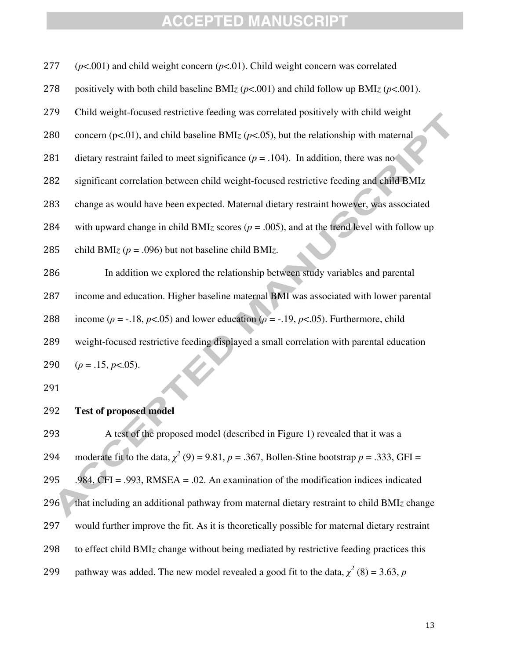| 277 | $(p<.001)$ and child weight concern $(p<.01)$ . Child weight concern was correlated                      |
|-----|----------------------------------------------------------------------------------------------------------|
| 278 | positively with both child baseline BMIz ( $p$ <.001) and child follow up BMIz ( $p$ <.001).             |
| 279 | Child weight-focused restrictive feeding was correlated positively with child weight                     |
| 280 | concern ( $p<01$ ), and child baseline BMIz ( $p<0.05$ ), but the relationship with maternal             |
| 281 | dietary restraint failed to meet significance ( $p = .104$ ). In addition, there was no                  |
| 282 | significant correlation between child weight-focused restrictive feeding and child BMIz                  |
| 283 | change as would have been expected. Maternal dietary restraint however, was associated                   |
| 284 | with upward change in child BMIz scores ( $p = .005$ ), and at the trend level with follow up            |
| 285 | child BMIz ( $p = .096$ ) but not baseline child BMIz.                                                   |
| 286 | In addition we explored the relationship between study variables and parental                            |
| 287 | income and education. Higher baseline maternal BMI was associated with lower parental                    |
| 288 | income ( $\rho = -18$ , $p < .05$ ) and lower education ( $\rho = -19$ , $p < .05$ ). Furthermore, child |
| 289 | weight-focused restrictive feeding displayed a small correlation with parental education                 |
| 290 | $(\rho = .15, p<.05)$ .                                                                                  |
| 291 |                                                                                                          |
| 292 | <b>Test of proposed model</b>                                                                            |
| 293 | A test of the proposed model (described in Figure 1) revealed that it was a                              |
| 294 | moderate fit to the data, $\chi^2$ (9) = 9.81, p = .367, Bollen-Stine bootstrap p = .333, GFI =          |
| 295 | .984, CFI = .993, RMSEA = .02. An examination of the modification indices indicated                      |
| 296 | that including an additional pathway from maternal dietary restraint to child BMIz change                |
| 297 | would further improve the fit. As it is theoretically possible for maternal dietary restraint            |
| 298 | to effect child BMIz change without being mediated by restrictive feeding practices this                 |
| 299 | pathway was added. The new model revealed a good fit to the data, $\chi^2$ (8) = 3.63, p                 |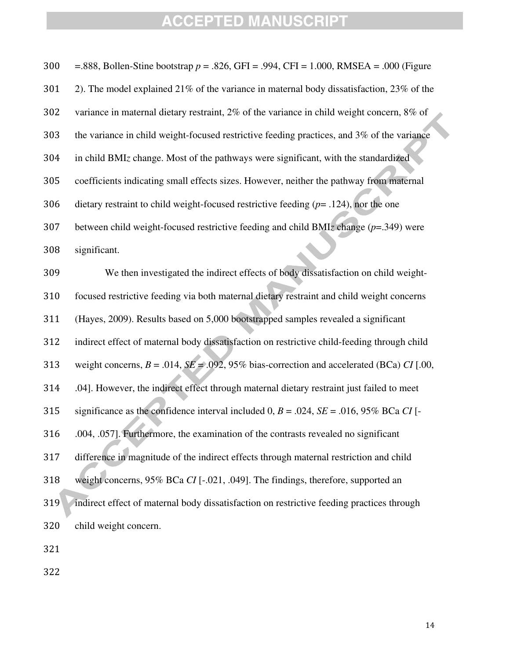| 300 | =.888, Bollen-Stine bootstrap $p = .826$ , GFI = .994, CFI = 1.000, RMSEA = .000 (Figure       |
|-----|------------------------------------------------------------------------------------------------|
| 301 | 2). The model explained 21% of the variance in maternal body dissatisfaction, 23% of the       |
| 302 | variance in maternal dietary restraint, 2% of the variance in child weight concern, 8% of      |
| 303 | the variance in child weight-focused restrictive feeding practices, and 3% of the variance     |
| 304 | in child BMIz change. Most of the pathways were significant, with the standardized             |
| 305 | coefficients indicating small effects sizes. However, neither the pathway from maternal        |
| 306 | dietary restraint to child weight-focused restrictive feeding $(p= .124)$ , nor the one        |
| 307 | between child weight-focused restrictive feeding and child BMIz change $(p=.349)$ were         |
| 308 | significant.                                                                                   |
| 309 | We then investigated the indirect effects of body dissatisfaction on child weight-             |
| 310 | focused restrictive feeding via both maternal dietary restraint and child weight concerns      |
| 311 | (Hayes, 2009). Results based on 5,000 bootstrapped samples revealed a significant              |
| 312 | indirect effect of maternal body dissatisfaction on restrictive child-feeding through child    |
| 313 | weight concerns, $B = .014$ , $SE = .092$ , 95% bias-correction and accelerated (BCa) CI [.00, |
| 314 | .04]. However, the indirect effect through maternal dietary restraint just failed to meet      |
| 315 | significance as the confidence interval included 0, $B = .024$ , $SE = .016$ , 95% BCa CI [-   |
| 316 | .004, .057]. Furthermore, the examination of the contrasts revealed no significant             |
| 317 | difference in magnitude of the indirect effects through maternal restriction and child         |
| 318 | weight concerns, 95% BCa CI [-.021, .049]. The findings, therefore, supported an               |
| 319 | indirect effect of maternal body dissatisfaction on restrictive feeding practices through      |
| 320 | child weight concern.                                                                          |
| 321 |                                                                                                |
|     |                                                                                                |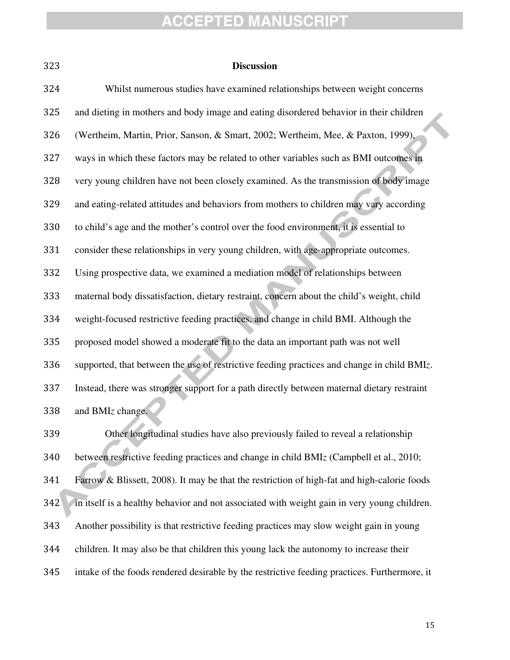| ×         |   |
|-----------|---|
|           |   |
| ۰.<br>. . | i |

#### **Discussion**

| 324 | Whilst numerous studies have examined relationships between weight concerns                |
|-----|--------------------------------------------------------------------------------------------|
| 325 | and dieting in mothers and body image and eating disordered behavior in their children     |
| 326 | (Wertheim, Martin, Prior, Sanson, & Smart, 2002; Wertheim, Mee, & Paxton, 1999),           |
| 327 | ways in which these factors may be related to other variables such as BMI outcomes in      |
| 328 | very young children have not been closely examined. As the transmission of body image      |
| 329 | and eating-related attitudes and behaviors from mothers to children may vary according     |
| 330 | to child's age and the mother's control over the food environment, it is essential to      |
| 331 | consider these relationships in very young children, with age-appropriate outcomes.        |
| 332 | Using prospective data, we examined a mediation model of relationships between             |
| 333 | maternal body dissatisfaction, dietary restraint, concern about the child's weight, child  |
| 334 | weight-focused restrictive feeding practices, and change in child BMI. Although the        |
| 335 | proposed model showed a moderate fit to the data an important path was not well            |
| 336 | supported, that between the use of restrictive feeding practices and change in child BMIz. |
| 337 | Instead, there was stronger support for a path directly between maternal dietary restraint |
| 338 | and BMIz change.                                                                           |

Other longitudinal studies have also previously failed to reveal a relationship between restrictive feeding practices and change in child BMI*z* (Campbell et al., 2010; Farrow & Blissett, 2008). It may be that the restriction of high-fat and high-calorie foods 342 in itself is a healthy behavior and not associated with weight gain in very young children. Another possibility is that restrictive feeding practices may slow weight gain in young children. It may also be that children this young lack the autonomy to increase their intake of the foods rendered desirable by the restrictive feeding practices. Furthermore, it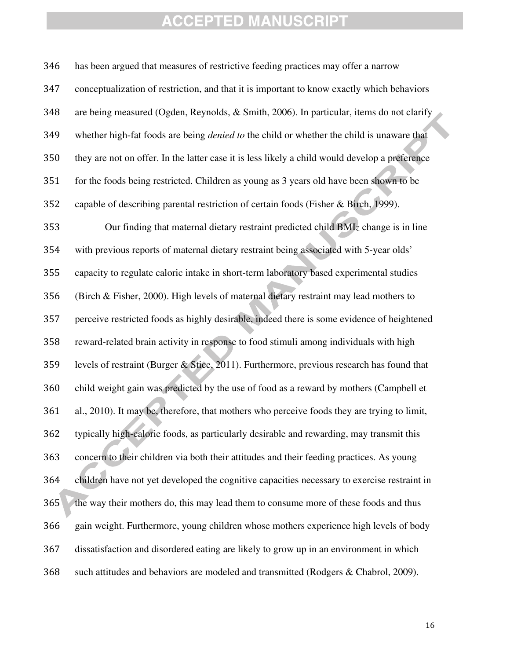has been argued that measures of restrictive feeding practices may offer a narrow conceptualization of restriction, and that it is important to know exactly which behaviors are being measured (Ogden, Reynolds, & Smith, 2006). In particular, items do not clarify whether high-fat foods are being *denied to* the child or whether the child is unaware that they are not on offer. In the latter case it is less likely a child would develop a preference for the foods being restricted. Children as young as 3 years old have been shown to be capable of describing parental restriction of certain foods (Fisher & Birch, 1999). Our finding that maternal dietary restraint predicted child BMI*z* change is in line with previous reports of maternal dietary restraint being associated with 5-year olds' capacity to regulate caloric intake in short-term laboratory based experimental studies (Birch & Fisher, 2000). High levels of maternal dietary restraint may lead mothers to perceive restricted foods as highly desirable, indeed there is some evidence of heightened reward-related brain activity in response to food stimuli among individuals with high levels of restraint (Burger & Stice, 2011). Furthermore, previous research has found that child weight gain was predicted by the use of food as a reward by mothers (Campbell et al., 2010). It may be, therefore, that mothers who perceive foods they are trying to limit, typically high-calorie foods, as particularly desirable and rewarding, may transmit this concern to their children via both their attitudes and their feeding practices. As young children have not yet developed the cognitive capacities necessary to exercise restraint in 365 the way their mothers do, this may lead them to consume more of these foods and thus gain weight. Furthermore, young children whose mothers experience high levels of body dissatisfaction and disordered eating are likely to grow up in an environment in which such attitudes and behaviors are modeled and transmitted (Rodgers & Chabrol, 2009).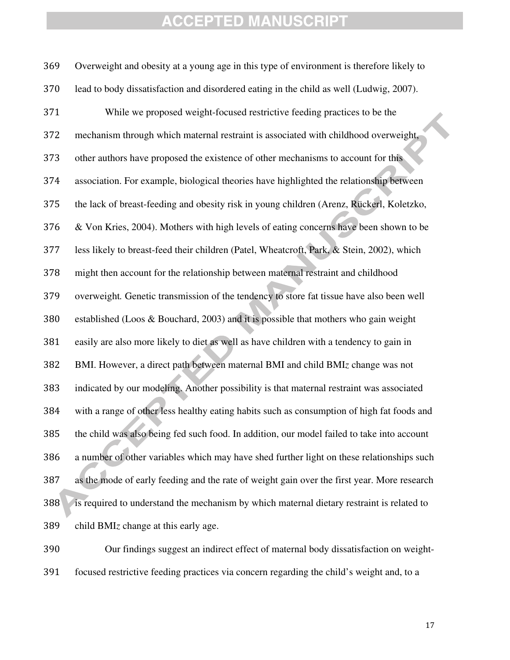Overweight and obesity at a young age in this type of environment is therefore likely to lead to body dissatisfaction and disordered eating in the child as well (Ludwig, 2007). While we proposed weight-focused restrictive feeding practices to be the mechanism through which maternal restraint is associated with childhood overweight, other authors have proposed the existence of other mechanisms to account for this association. For example, biological theories have highlighted the relationship between the lack of breast-feeding and obesity risk in young children (Arenz, Rückerl, Koletzko, & Von Kries, 2004). Mothers with high levels of eating concerns have been shown to be less likely to breast-feed their children (Patel, Wheatcroft, Park, & Stein, 2002), which might then account for the relationship between maternal restraint and childhood overweight*.* Genetic transmission of the tendency to store fat tissue have also been well established (Loos & Bouchard, 2003) and it is possible that mothers who gain weight easily are also more likely to diet as well as have children with a tendency to gain in BMI. However, a direct path between maternal BMI and child BMI*z* change was not indicated by our modeling. Another possibility is that maternal restraint was associated with a range of other less healthy eating habits such as consumption of high fat foods and the child was also being fed such food. In addition, our model failed to take into account a number of other variables which may have shed further light on these relationships such as the mode of early feeding and the rate of weight gain over the first year. More research 388 is required to understand the mechanism by which maternal dietary restraint is related to child BMI*z* change at this early age.

Our findings suggest an indirect effect of maternal body dissatisfaction on weight-focused restrictive feeding practices via concern regarding the child's weight and, to a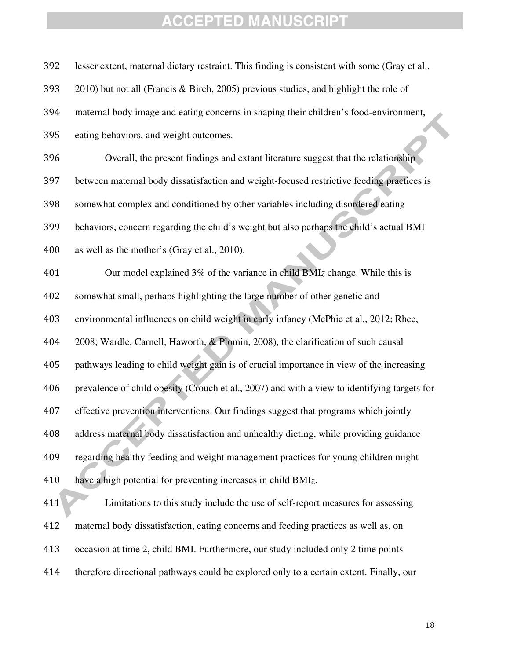| 392 | lesser extent, maternal dietary restraint. This finding is consistent with some (Gray et al., |
|-----|-----------------------------------------------------------------------------------------------|
| 393 | 2010) but not all (Francis & Birch, 2005) previous studies, and highlight the role of         |
| 394 | maternal body image and eating concerns in shaping their children's food-environment,         |
| 395 | eating behaviors, and weight outcomes.                                                        |
| 396 | Overall, the present findings and extant literature suggest that the relationship             |
| 397 | between maternal body dissatisfaction and weight-focused restrictive feeding practices is     |
| 398 | somewhat complex and conditioned by other variables including disordered eating               |
| 399 | behaviors, concern regarding the child's weight but also perhaps the child's actual BMI       |
| 400 | as well as the mother's (Gray et al., 2010).                                                  |
| 401 | Our model explained 3% of the variance in child BMIz change. While this is                    |
| 402 | somewhat small, perhaps highlighting the large number of other genetic and                    |
| 403 | environmental influences on child weight in early infancy (McPhie et al., 2012; Rhee,         |
| 404 | 2008; Wardle, Carnell, Haworth, & Plomin, 2008), the clarification of such causal             |
| 405 | pathways leading to child weight gain is of crucial importance in view of the increasing      |
| 406 | prevalence of child obesity (Crouch et al., 2007) and with a view to identifying targets for  |
| 407 | effective prevention interventions. Our findings suggest that programs which jointly          |
| 408 | address maternal body dissatisfaction and unhealthy dieting, while providing guidance         |
| 409 | regarding healthy feeding and weight management practices for young children might            |
| 410 | have a high potential for preventing increases in child BMIz.                                 |
| 411 | Limitations to this study include the use of self-report measures for assessing               |
| 412 | maternal body dissatisfaction, eating concerns and feeding practices as well as, on           |
| 413 | occasion at time 2, child BMI. Furthermore, our study included only 2 time points             |
| 414 | therefore directional pathways could be explored only to a certain extent. Finally, our       |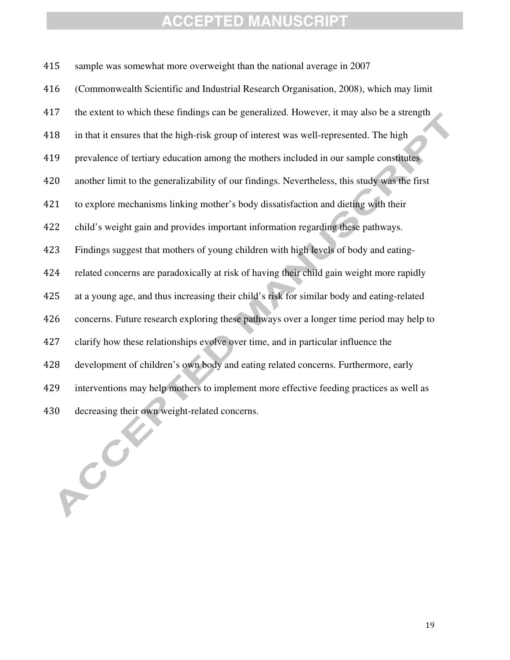sample was somewhat more overweight than the national average in 2007 (Commonwealth Scientific and Industrial Research Organisation, 2008), which may limit the extent to which these findings can be generalized. However, it may also be a strength in that it ensures that the high-risk group of interest was well-represented. The high prevalence of tertiary education among the mothers included in our sample constitutes another limit to the generalizability of our findings. Nevertheless, this study was the first to explore mechanisms linking mother's body dissatisfaction and dieting with their child's weight gain and provides important information regarding these pathways. Findings suggest that mothers of young children with high levels of body and eating-related concerns are paradoxically at risk of having their child gain weight more rapidly at a young age, and thus increasing their child's risk for similar body and eating-related concerns. Future research exploring these pathways over a longer time period may help to clarify how these relationships evolve over time, and in particular influence the development of children's own body and eating related concerns. Furthermore, early interventions may help mothers to implement more effective feeding practices as well as decreasing their own weight-related concerns.

PCC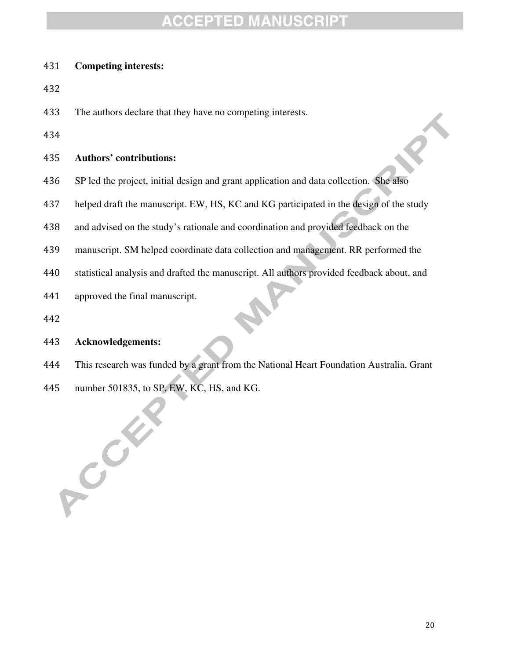#### **Competing interests:**

- 
- The authors declare that they have no competing interests.
- 

#### **Authors' contributions:**

- SP led the project, initial design and grant application and data collection. She also
- helped draft the manuscript. EW, HS, KC and KG participated in the design of the study
- and advised on the study's rationale and coordination and provided feedback on the
- manuscript. SM helped coordinate data collection and management. RR performed the
- statistical analysis and drafted the manuscript. All authors provided feedback about, and
- approved the final manuscript.
- 

#### **Acknowledgements:**

POOK

- This research was funded by a grant from the National Heart Foundation Australia, Grant
- number 501835, to SP, EW, KC, HS, and KG.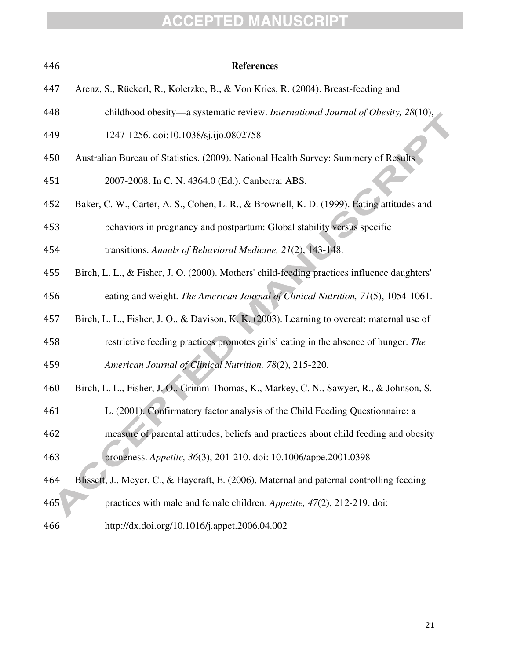| 446 | <b>References</b>                                                                           |
|-----|---------------------------------------------------------------------------------------------|
| 447 | Arenz, S., Rückerl, R., Koletzko, B., & Von Kries, R. (2004). Breast-feeding and            |
| 448 | childhood obesity—a systematic review. International Journal of Obesity, 28(10),            |
| 449 | 1247-1256. doi:10.1038/sj.ijo.0802758                                                       |
| 450 | Australian Bureau of Statistics. (2009). National Health Survey: Summery of Results         |
| 451 | 2007-2008. In C. N. 4364.0 (Ed.). Canberra: ABS.                                            |
| 452 | Baker, C. W., Carter, A. S., Cohen, L. R., & Brownell, K. D. (1999). Eating attitudes and   |
| 453 | behaviors in pregnancy and postpartum: Global stability versus specific                     |
| 454 | transitions. Annals of Behavioral Medicine, 21(2), 143-148.                                 |
| 455 | Birch, L. L., & Fisher, J. O. (2000). Mothers' child-feeding practices influence daughters' |
| 456 | eating and weight. The American Journal of Clinical Nutrition, 71(5), 1054-1061.            |
| 457 | Birch, L. L., Fisher, J. O., & Davison, K. K. (2003). Learning to overeat: maternal use of  |
| 458 | restrictive feeding practices promotes girls' eating in the absence of hunger. The          |
| 459 | American Journal of Clinical Nutrition, 78(2), 215-220.                                     |
| 460 | Birch, L. L., Fisher, J. O., Grimm-Thomas, K., Markey, C. N., Sawyer, R., & Johnson, S.     |
| 461 | L. (2001). Confirmatory factor analysis of the Child Feeding Questionnaire: a               |
| 462 | measure of parental attitudes, beliefs and practices about child feeding and obesity        |
| 463 | proneness. Appetite, 36(3), 201-210. doi: 10.1006/appe.2001.0398                            |
| 464 | Blissett, J., Meyer, C., & Haycraft, E. (2006). Maternal and paternal controlling feeding   |
| 465 | practices with male and female children. Appetite, 47(2), 212-219. doi:                     |
| 466 | http://dx.doi.org/10.1016/j.appet.2006.04.002                                               |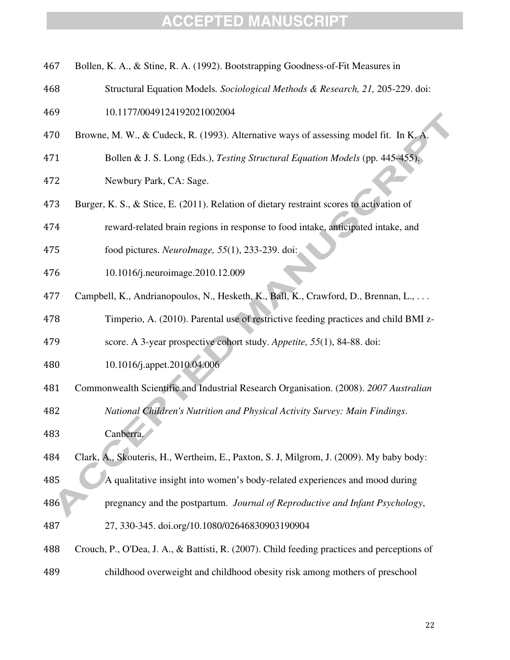- Bollen, K. A., & Stine, R. A. (1992). Bootstrapping Goodness-of-Fit Measures in
- Structural Equation Models*. Sociological Methods & Research, 21,* 205-229. doi:
- 10.1177/0049124192021002004
- Browne, M. W., & Cudeck, R. (1993). Alternative ways of assessing model fit. In K. A.
- Bollen & J. S. Long (Eds.), *Testing Structural Equation Models* (pp. 445-455).
- Newbury Park, CA: Sage.
- Burger, K. S., & Stice, E. (2011). Relation of dietary restraint scores to activation of
- reward-related brain regions in response to food intake, anticipated intake, and
- food pictures. *NeuroImage, 55*(1), 233-239. doi:
- 10.1016/j.neuroimage.2010.12.009
- Campbell, K., Andrianopoulos, N., Hesketh, K., Ball, K., Crawford, D., Brennan, L., . . .
- Timperio, A. (2010). Parental use of restrictive feeding practices and child BMI z-
- score. A 3-year prospective cohort study. *Appetite, 55*(1), 84-88. doi:
- 10.1016/j.appet.2010.04.006
- Commonwealth Scientific and Industrial Research Organisation. (2008). *2007 Australian*
- *National Children's Nutrition and Physical Activity Survey: Main Findings*. Canberra.
- Clark, A., Skouteris, H., Wertheim, E., Paxton, S. J, Milgrom, J. (2009). My baby body: A qualitative insight into women's body-related experiences and mood during pregnancy and the postpartum. *Journal of Reproductive and Infant Psychology*, 27, 330-345. doi.org/10.1080/02646830903190904
- Crouch, P., O'Dea, J. A., & Battisti, R. (2007). Child feeding practices and perceptions of
- childhood overweight and childhood obesity risk among mothers of preschool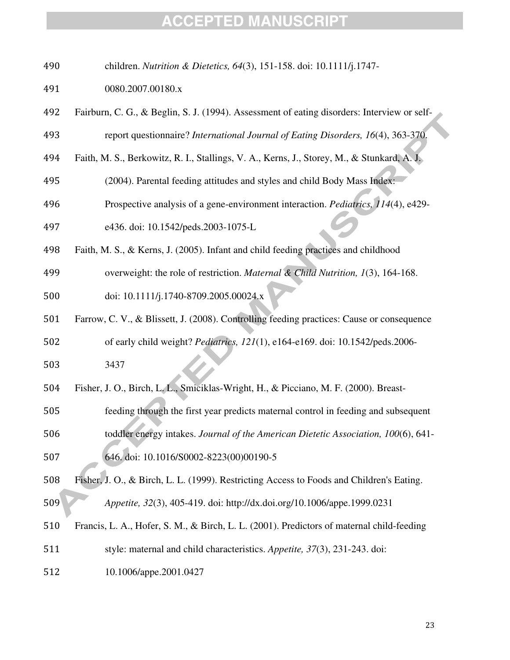| 490 | children. Nutrition & Dietetics, 64(3), 151-158. doi: 10.1111/j.1747-                       |
|-----|---------------------------------------------------------------------------------------------|
| 491 | 0080.2007.00180.x                                                                           |
| 492 | Fairburn, C. G., & Beglin, S. J. (1994). Assessment of eating disorders: Interview or self- |
| 493 | report questionnaire? International Journal of Eating Disorders, 16(4), 363-370.            |
| 494 | Faith, M. S., Berkowitz, R. I., Stallings, V. A., Kerns, J., Storey, M., & Stunkard, A. J.  |
| 495 | (2004). Parental feeding attitudes and styles and child Body Mass Index:                    |
| 496 | Prospective analysis of a gene-environment interaction. Pediatrics, 114(4), e429-           |
| 497 | e436. doi: 10.1542/peds.2003-1075-L                                                         |
| 498 | Faith, M. S., & Kerns, J. (2005). Infant and child feeding practices and childhood          |
| 499 | overweight: the role of restriction. Maternal & Child Nutrition, 1(3), 164-168.             |
| 500 | doi: 10.1111/j.1740-8709.2005.00024.x                                                       |
| 501 | Farrow, C. V., & Blissett, J. (2008). Controlling feeding practices: Cause or consequence   |
| 502 | of early child weight? Pediatrics, 121(1), e164-e169. doi: 10.1542/peds.2006-               |
| 503 | 3437                                                                                        |
| 504 | Fisher, J. O., Birch, L. L., Smiciklas-Wright, H., & Picciano, M. F. (2000). Breast-        |
| 505 | feeding through the first year predicts maternal control in feeding and subsequent          |
| 506 | toddler energy intakes. Journal of the American Dietetic Association, 100(6), 641-          |
| 507 | 646. doi: 10.1016/S0002-8223(00)00190-5                                                     |
| 508 | Fisher, J. O., & Birch, L. L. (1999). Restricting Access to Foods and Children's Eating.    |
| 509 | Appetite, 32(3), 405-419. doi: http://dx.doi.org/10.1006/appe.1999.0231                     |
| 510 | Francis, L. A., Hofer, S. M., & Birch, L. L. (2001). Predictors of maternal child-feeding   |
| 511 | style: maternal and child characteristics. Appetite, 37(3), 231-243. doi:                   |
| 512 | 10.1006/appe.2001.0427                                                                      |
|     |                                                                                             |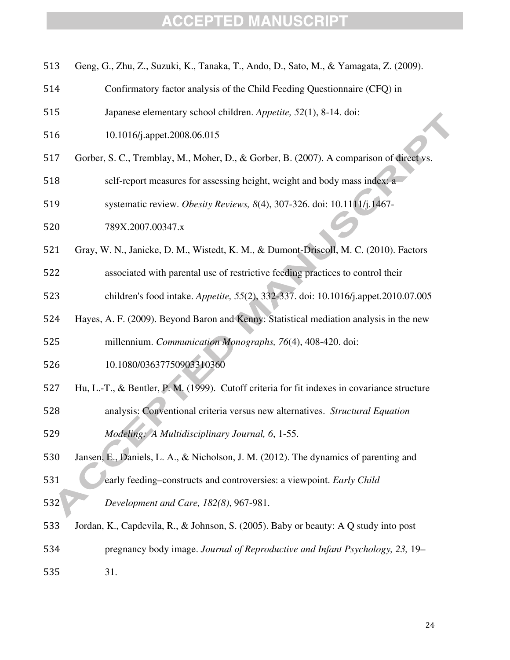| 513 | Geng, G., Zhu, Z., Suzuki, K., Tanaka, T., Ando, D., Sato, M., & Yamagata, Z. (2009).       |
|-----|---------------------------------------------------------------------------------------------|
| 514 | Confirmatory factor analysis of the Child Feeding Questionnaire (CFQ) in                    |
| 515 | Japanese elementary school children. Appetite, 52(1), 8-14. doi:                            |
| 516 | 10.1016/j.appet.2008.06.015                                                                 |
| 517 | Gorber, S. C., Tremblay, M., Moher, D., & Gorber, B. (2007). A comparison of direct vs.     |
| 518 | self-report measures for assessing height, weight and body mass index: a                    |
| 519 | systematic review. Obesity Reviews, 8(4), 307-326. doi: 10.1111/j.1467-                     |
| 520 | 789X.2007.00347.x                                                                           |
| 521 | Gray, W. N., Janicke, D. M., Wistedt, K. M., & Dumont-Driscoll, M. C. (2010). Factors       |
| 522 | associated with parental use of restrictive feeding practices to control their              |
| 523 | children's food intake. Appetite, 55(2), 332-337. doi: 10.1016/j.appet.2010.07.005          |
| 524 | Hayes, A. F. (2009). Beyond Baron and Kenny: Statistical mediation analysis in the new      |
| 525 | millennium. Communication Monographs, 76(4), 408-420. doi:                                  |
| 526 | 10.1080/03637750903310360                                                                   |
| 527 | Hu, L.-T., & Bentler, P. M. (1999). Cutoff criteria for fit indexes in covariance structure |
| 528 | analysis: Conventional criteria versus new alternatives. Structural Equation                |
| 529 | Modeling: A Multidisciplinary Journal, 6, 1-55.                                             |
| 530 | Jansen, E., Daniels, L. A., & Nicholson, J. M. (2012). The dynamics of parenting and        |
| 531 | early feeding-constructs and controversies: a viewpoint. Early Child                        |
| 532 | Development and Care, 182(8), 967-981.                                                      |
| 533 | Jordan, K., Capdevila, R., & Johnson, S. (2005). Baby or beauty: A Q study into post        |
| 534 | pregnancy body image. Journal of Reproductive and Infant Psychology, 23, 19–                |
| 535 | 31.                                                                                         |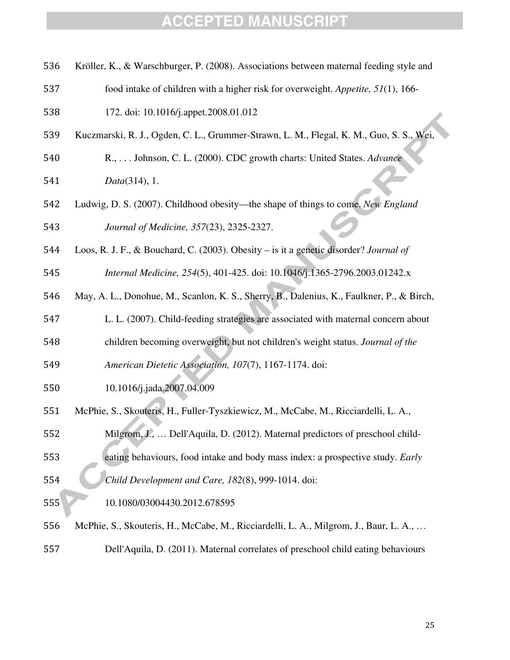- Kröller, K., & Warschburger, P. (2008). Associations between maternal feeding style and
- food intake of children with a higher risk for overweight. *Appetite, 51*(1), 166-
- 172. doi: 10.1016/j.appet.2008.01.012
- Kuczmarski, R. J., Ogden, C. L., Grummer-Strawn, L. M., Flegal, K. M., Guo, S. S., Wei,

R., . . . Johnson, C. L. (2000). CDC growth charts: United States. *Advance* 

- *Data*(314), 1.
- Ludwig, D. S. (2007). Childhood obesity—the shape of things to come. *New England Journal of Medicine, 357*(23), 2325-2327.
- Loos, R. J. F., & Bouchard, C. (2003). Obesity is it a genetic disorder? *Journal of*
- *Internal Medicine, 254*(5), 401-425. doi: 10.1046/j.1365-2796.2003.01242.x
- May, A. L., Donohue, M., Scanlon, K. S., Sherry, B., Dalenius, K., Faulkner, P., & Birch,
- L. L. (2007). Child-feeding strategies are associated with maternal concern about
- children becoming overweight, but not children's weight status. *Journal of the*
- *American Dietetic Association, 107*(7), 1167-1174. doi:
- 10.1016/j.jada.2007.04.009
- McPhie, S., Skouteris, H., Fuller-Tyszkiewicz, M., McCabe, M., Ricciardelli, L. A.,
- Milgrom, J., … Dell'Aquila, D. (2012). Maternal predictors of preschool child-
- eating behaviours, food intake and body mass index: a prospective study. *Early Child Development and Care, 182*(8), 999-1014. doi:
- 10.1080/03004430.2012.678595
- McPhie, S., Skouteris, H., McCabe, M., Ricciardelli, L. A., Milgrom, J., Baur, L. A., …
- Dell'Aquila, D. (2011). Maternal correlates of preschool child eating behaviours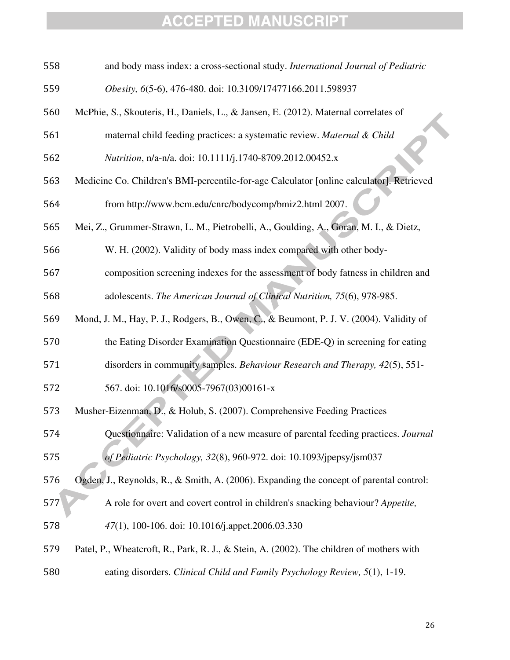| 558 | and body mass index: a cross-sectional study. International Journal of Pediatric         |
|-----|------------------------------------------------------------------------------------------|
| 559 | Obesity, 6(5-6), 476-480. doi: 10.3109/17477166.2011.598937                              |
| 560 | McPhie, S., Skouteris, H., Daniels, L., & Jansen, E. (2012). Maternal correlates of      |
| 561 | maternal child feeding practices: a systematic review. Maternal & Child                  |
| 562 | Nutrition, n/a-n/a. doi: 10.1111/j.1740-8709.2012.00452.x                                |
| 563 | Medicine Co. Children's BMI-percentile-for-age Calculator [online calculator]. Retrieved |
| 564 | from http://www.bcm.edu/cnrc/bodycomp/bmiz2.html 2007.                                   |
| 565 | Mei, Z., Grummer-Strawn, L. M., Pietrobelli, A., Goulding, A., Goran, M. I., & Dietz,    |
| 566 | W. H. (2002). Validity of body mass index compared with other body-                      |
| 567 | composition screening indexes for the assessment of body fatness in children and         |
| 568 | adolescents. The American Journal of Clinical Nutrition, 75(6), 978-985.                 |
| 569 | Mond, J. M., Hay, P. J., Rodgers, B., Owen, C., & Beumont, P. J. V. (2004). Validity of  |
| 570 | the Eating Disorder Examination Questionnaire (EDE-Q) in screening for eating            |
| 571 | disorders in community samples. Behaviour Research and Therapy, 42(5), 551-              |
| 572 | 567. doi: 10.1016/s0005-7967(03)00161-x                                                  |
| 573 | Musher-Eizenman, D., & Holub, S. (2007). Comprehensive Feeding Practices                 |
| 574 | Questionnaire: Validation of a new measure of parental feeding practices. Journal        |
| 575 | of Pediatric Psychology, 32(8), 960-972. doi: 10.1093/jpepsy/jsm037                      |
| 576 | Ogden, J., Reynolds, R., & Smith, A. (2006). Expanding the concept of parental control:  |
| 577 | A role for overt and covert control in children's snacking behaviour? Appetite,          |
| 578 | 47(1), 100-106. doi: 10.1016/j.appet.2006.03.330                                         |
| 579 | Patel, P., Wheatcroft, R., Park, R. J., & Stein, A. (2002). The children of mothers with |
| 580 | eating disorders. Clinical Child and Family Psychology Review, 5(1), 1-19.               |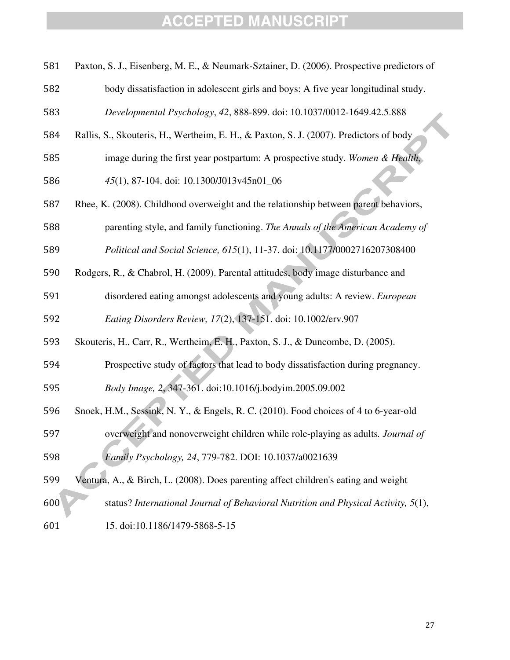| 581 | Paxton, S. J., Eisenberg, M. E., & Neumark-Sztainer, D. (2006). Prospective predictors of |
|-----|-------------------------------------------------------------------------------------------|
| 582 | body dissatisfaction in adolescent girls and boys: A five year longitudinal study.        |
| 583 | Developmental Psychology, 42, 888-899. doi: 10.1037/0012-1649.42.5.888                    |
| 584 | Rallis, S., Skouteris, H., Wertheim, E. H., & Paxton, S. J. (2007). Predictors of body    |
| 585 | image during the first year postpartum: A prospective study. Women & Health,              |
| 586 | 45(1), 87-104. doi: 10.1300/J013v45n01_06                                                 |
| 587 | Rhee, K. (2008). Childhood overweight and the relationship between parent behaviors,      |
| 588 | parenting style, and family functioning. The Annals of the American Academy of            |
| 589 | Political and Social Science, 615(1), 11-37. doi: 10.1177/0002716207308400                |
| 590 | Rodgers, R., & Chabrol, H. (2009). Parental attitudes, body image disturbance and         |
| 591 | disordered eating amongst adolescents and young adults: A review. European                |
| 592 | Eating Disorders Review, 17(2), 137-151. doi: 10.1002/erv.907                             |
| 593 | Skouteris, H., Carr, R., Wertheim, E. H., Paxton, S. J., & Duncombe, D. (2005).           |
| 594 | Prospective study of factors that lead to body dissatisfaction during pregnancy.          |
| 595 | Body Image, 2, 347-361. doi:10.1016/j.bodyim.2005.09.002                                  |
| 596 | Snoek, H.M., Sessink, N.Y., & Engels, R.C. (2010). Food choices of 4 to 6-year-old        |
| 597 | overweight and nonoverweight children while role-playing as adults. Journal of            |
| 598 | Family Psychology, 24, 779-782. DOI: 10.1037/a0021639                                     |
| 599 | Ventura, A., & Birch, L. (2008). Does parenting affect children's eating and weight       |
| 600 | status? International Journal of Behavioral Nutrition and Physical Activity, 5(1),        |
| 601 | 15. doi:10.1186/1479-5868-5-15                                                            |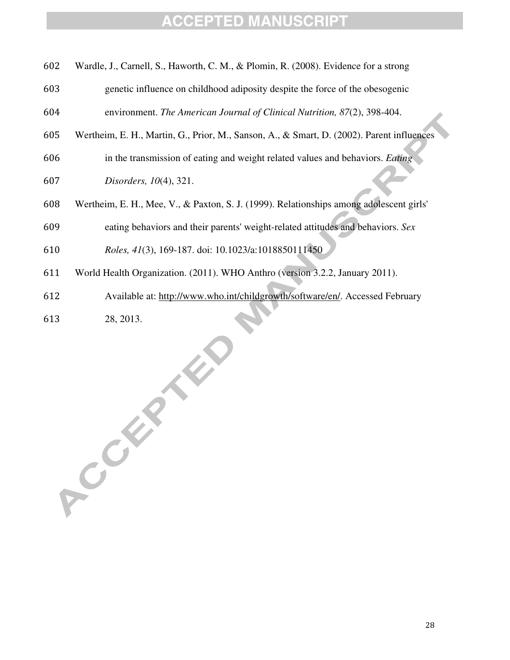| 602 Wardle, J., Carnell, S., Haworth, C. M., & Plomin, R. (2008). Evidence for a strong |  |  |
|-----------------------------------------------------------------------------------------|--|--|

- genetic influence on childhood adiposity despite the force of the obesogenic environment. *The American Journal of Clinical Nutrition, 87*(2), 398-404.
- Wertheim, E. H., Martin, G., Prior, M., Sanson, A., & Smart, D. (2002). Parent influences
- in the transmission of eating and weight related values and behaviors. *Eating*
- *Disorders, 10*(4), 321.
- Wertheim, E. H., Mee, V., & Paxton, S. J. (1999). Relationships among adolescent girls'
- eating behaviors and their parents' weight-related attitudes and behaviors. *Sex*
- *Roles, 41*(3), 169-187. doi: 10.1023/a:1018850111450
- World Health Organization. (2011). WHO Anthro (version 3.2.2, January 2011).
- Available at: http://www.who.int/childgrowth/software/en/. Accessed February

28, 2013.

A College R.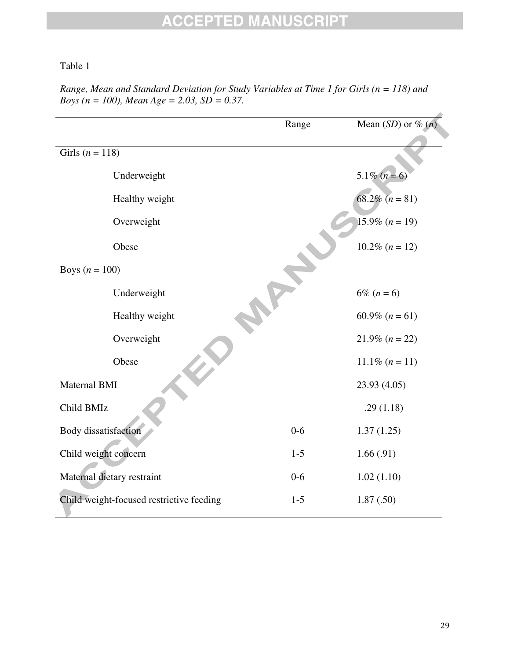#### Table 1

|                                          | Range   | Mean $(SD)$ or % $(n)$    |
|------------------------------------------|---------|---------------------------|
| Girls ( $n = 118$ )                      |         |                           |
| Underweight                              |         | $5.1\% (n=6)$             |
| Healthy weight                           |         | 68.2\% $(n = 81)$         |
| Overweight                               |         | $15.9\% (n = 19)$         |
| Obese                                    |         | $10.2\%$ ( <i>n</i> = 12) |
| Boys $(n = 100)$                         |         |                           |
| Underweight                              |         | $6\% (n = 6)$             |
| Healthy weight                           |         | 60.9% $(n = 61)$          |
| Overweight                               |         | $21.9\%$ (n = 22)         |
| Obese                                    |         | $11.1\% (n = 11)$         |
| Maternal BMI                             |         | 23.93 (4.05)              |
| Child BMIz                               |         | .29(1.18)                 |
| <b>Body</b> dissatisfaction              | $0-6$   | 1.37(1.25)                |
| Child weight concern                     | $1 - 5$ | 1.66(.91)                 |
| Maternal dietary restraint               | $0 - 6$ | 1.02(1.10)                |
| Child weight-focused restrictive feeding | $1-5$   | 1.87(.50)                 |

*Range, Mean and Standard Deviation for Study Variables at Time 1 for Girls (n = 118) and Boys (n = 100), Mean Age = 2.03, SD = 0.37.*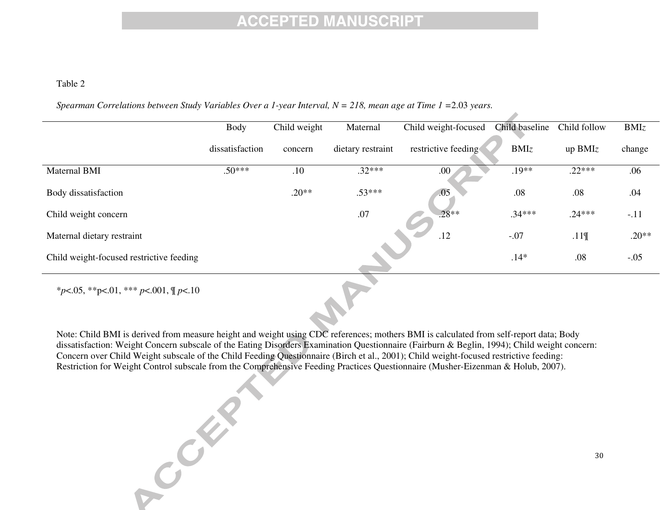#### Table 2

*Spearman Correlations between Study Variables Over a 1-year Interval, N = 218, mean age at Time 1 =*2.03 *years.* 

|                                          | <b>Body</b>     | Child weight | Maternal          | Child weight-focused | Child baseline | Child follow | BMIz    |
|------------------------------------------|-----------------|--------------|-------------------|----------------------|----------------|--------------|---------|
|                                          | dissatisfaction | concern      | dietary restraint | restrictive feeding  | BMIz           | up $BMIz$    | change  |
| Maternal BMI                             | $.50***$        | .10          | $.32***$          | .00                  | $.19**$        | $.22***$     | .06     |
| Body dissatisfaction                     |                 | $.20**$      | $.53***$          | .05                  | .08            | .08          | .04     |
| Child weight concern                     |                 |              | .07               | $.28**$              | $.34***$       | $.24***$     | $-.11$  |
| Maternal dietary restraint               |                 |              |                   | .12                  | $-.07$         | .11          | $.20**$ |
| Child weight-focused restrictive feeding |                 |              |                   |                      | $.14*$         | .08          | $-.05$  |
|                                          |                 |              |                   |                      |                |              |         |

\**p*<.05, \*\*p<.01, \*\*\* *p*<.001, ¶ *p*<.10

Note: Child BMI is derived from measure height and weight using CDC references; mothers BMI is calculated from self-report data; Body dissatisfaction: Weight Concern subscale of the Eating Disorders Examination Questionnaire (Fairburn & Beglin, 1994); Child weight concern: Concern over Child Weight subscale of the Child Feeding Questionnaire (Birch et al., 2001); Child weight-focused restrictive feeding: Restriction for Weight Control subscale from the Comprehensive Feeding Practices Questionnaire (Musher-Eizenman & Holub, 2007).

Creek

z,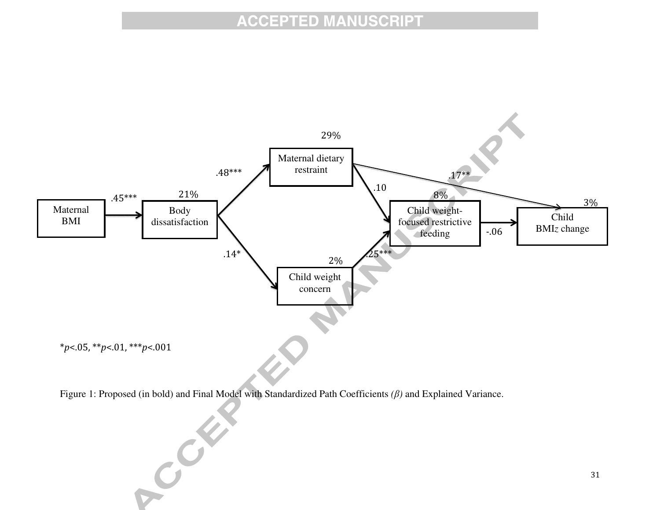

Figure 1: Proposed (in bold) and Final Model with Standardized Path Coefficients *(*β*)* and Explained Variance.

 $\epsilon^{C}$